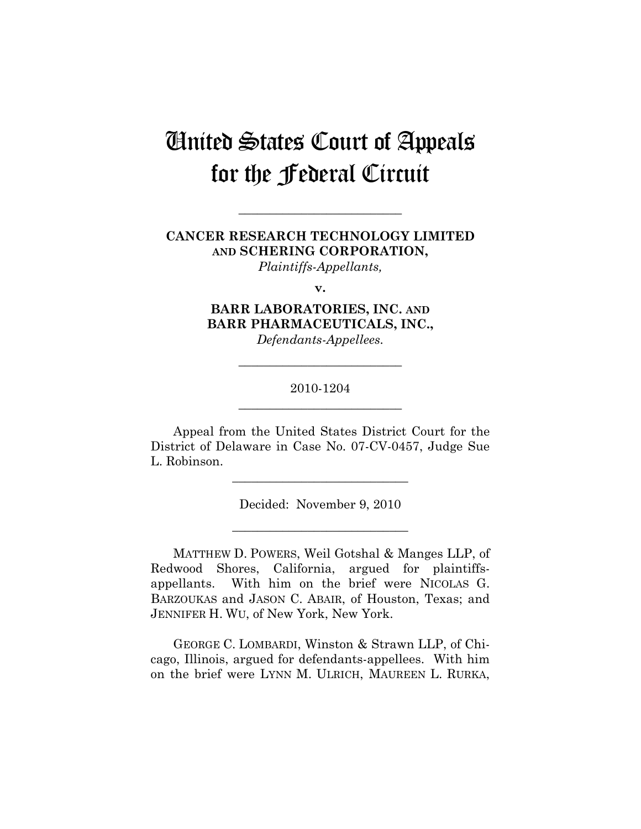# United States Court of Appeals for the Federal Circuit

# **CANCER RESEARCH TECHNOLOGY LIMITED AND SCHERING CORPORATION,**

**\_\_\_\_\_\_\_\_\_\_\_\_\_\_\_\_\_\_\_\_\_\_\_\_\_\_** 

*Plaintiffs-Appellants,* 

**v.** 

**BARR LABORATORIES, INC. AND BARR PHARMACEUTICALS, INC.,**  *Defendants-Appellees.* 

## 2010-1204 **\_\_\_\_\_\_\_\_\_\_\_\_\_\_\_\_\_\_\_\_\_\_\_\_\_\_**

**\_\_\_\_\_\_\_\_\_\_\_\_\_\_\_\_\_\_\_\_\_\_\_\_\_\_** 

Appeal from the United States District Court for the District of Delaware in Case No. 07-CV-0457, Judge Sue L. Robinson.

Decided: November 9, 2010

**\_\_\_\_\_\_\_\_\_\_\_\_\_\_\_\_\_\_\_\_\_\_\_\_\_\_\_\_** 

**\_\_\_\_\_\_\_\_\_\_\_\_\_\_\_\_\_\_\_\_\_\_\_\_\_\_\_\_** 

MATTHEW D. POWERS, Weil Gotshal & Manges LLP, of Redwood Shores, California, argued for plaintiffsappellants. With him on the brief were NICOLAS G. BARZOUKAS and JASON C. ABAIR, of Houston, Texas; and JENNIFER H. WU, of New York, New York.

GEORGE C. LOMBARDI, Winston & Strawn LLP, of Chicago, Illinois, argued for defendants-appellees. With him on the brief were LYNN M. ULRICH, MAUREEN L. RURKA,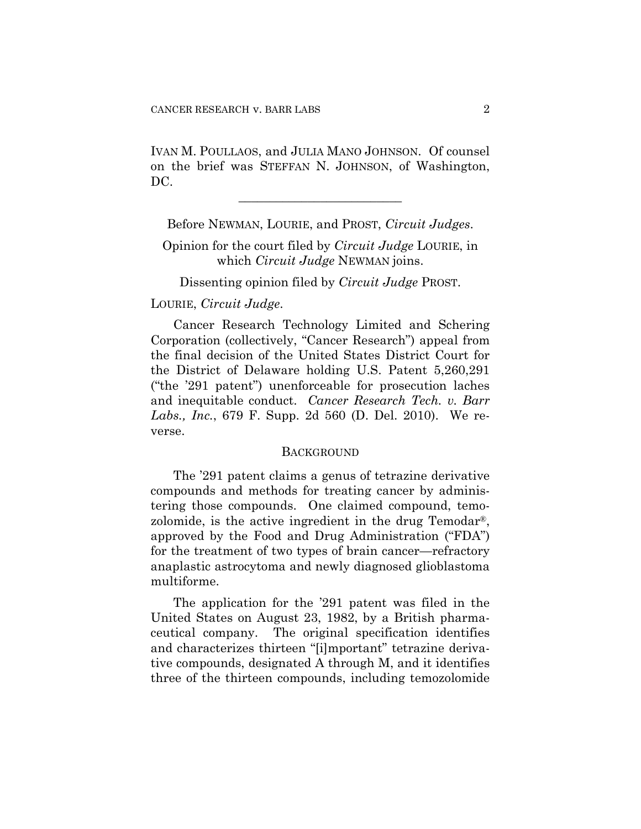IVAN M. POULLAOS, and JULIA MANO JOHNSON. Of counsel on the brief was STEFFAN N. JOHNSON, of Washington, DC.

**\_\_\_\_\_\_\_\_\_\_\_\_\_\_\_\_\_\_\_\_\_\_\_\_\_\_** 

Before NEWMAN, LOURIE, and PROST, *Circuit Judges*.

Opinion for the court filed by *Circuit Judge* LOURIE, in which *Circuit Judge* NEWMAN joins.

Dissenting opinion filed by *Circuit Judge* PROST.

### LOURIE, *Circuit Judge*.

Cancer Research Technology Limited and Schering Corporation (collectively, "Cancer Research") appeal from the final decision of the United States District Court for the District of Delaware holding U.S. Patent 5,260,291 ("the '291 patent") unenforceable for prosecution laches and inequitable conduct. *Cancer Research Tech. v. Barr Labs., Inc.*, 679 F. Supp. 2d 560 (D. Del. 2010). We reverse.

#### **BACKGROUND**

The '291 patent claims a genus of tetrazine derivative compounds and methods for treating cancer by administering those compounds. One claimed compound, temozolomide, is the active ingredient in the drug Temodar®, approved by the Food and Drug Administration ("FDA") for the treatment of two types of brain cancer—refractory anaplastic astrocytoma and newly diagnosed glioblastoma multiforme.

The application for the '291 patent was filed in the United States on August 23, 1982, by a British pharmaceutical company. The original specification identifies and characterizes thirteen "[i]mportant" tetrazine derivative compounds, designated A through M, and it identifies three of the thirteen compounds, including temozolomide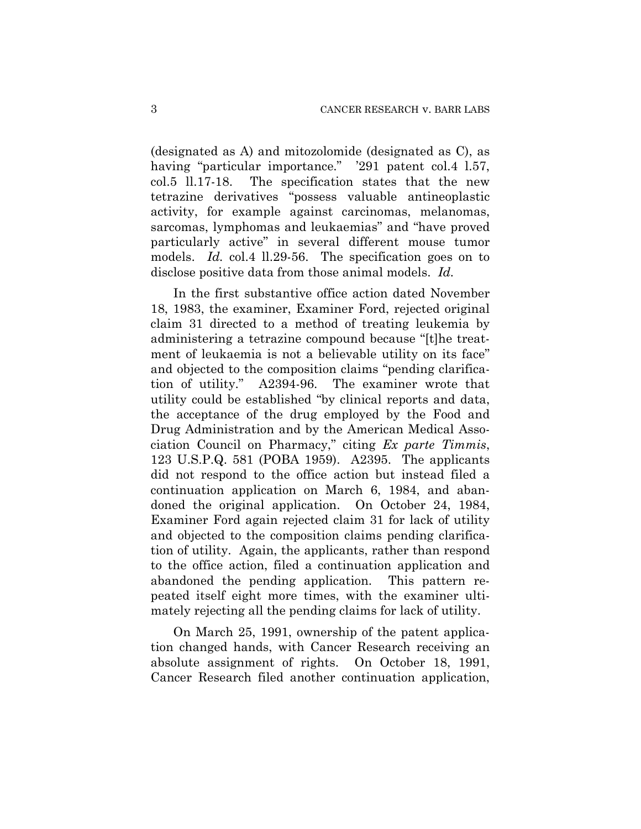(designated as A) and mitozolomide (designated as C), as having "particular importance." '291 patent col.4 l.57, col.5 ll.17-18. The specification states that the new tetrazine derivatives "possess valuable antineoplastic activity, for example against carcinomas, melanomas, sarcomas, lymphomas and leukaemias" and "have proved particularly active" in several different mouse tumor models. *Id.* col.4 ll.29-56. The specification goes on to disclose positive data from those animal models. *Id.*

In the first substantive office action dated November 18, 1983, the examiner, Examiner Ford, rejected original claim 31 directed to a method of treating leukemia by administering a tetrazine compound because "[t]he treatment of leukaemia is not a believable utility on its face" and objected to the composition claims "pending clarification of utility." A2394-96. The examiner wrote that utility could be established "by clinical reports and data, the acceptance of the drug employed by the Food and Drug Administration and by the American Medical Association Council on Pharmacy," citing *Ex parte Timmis*, 123 U.S.P.Q. 581 (POBA 1959). A2395. The applicants did not respond to the office action but instead filed a continuation application on March 6, 1984, and abandoned the original application. On October 24, 1984, Examiner Ford again rejected claim 31 for lack of utility and objected to the composition claims pending clarification of utility. Again, the applicants, rather than respond to the office action, filed a continuation application and abandoned the pending application. This pattern repeated itself eight more times, with the examiner ultimately rejecting all the pending claims for lack of utility.

On March 25, 1991, ownership of the patent application changed hands, with Cancer Research receiving an absolute assignment of rights. On October 18, 1991, Cancer Research filed another continuation application,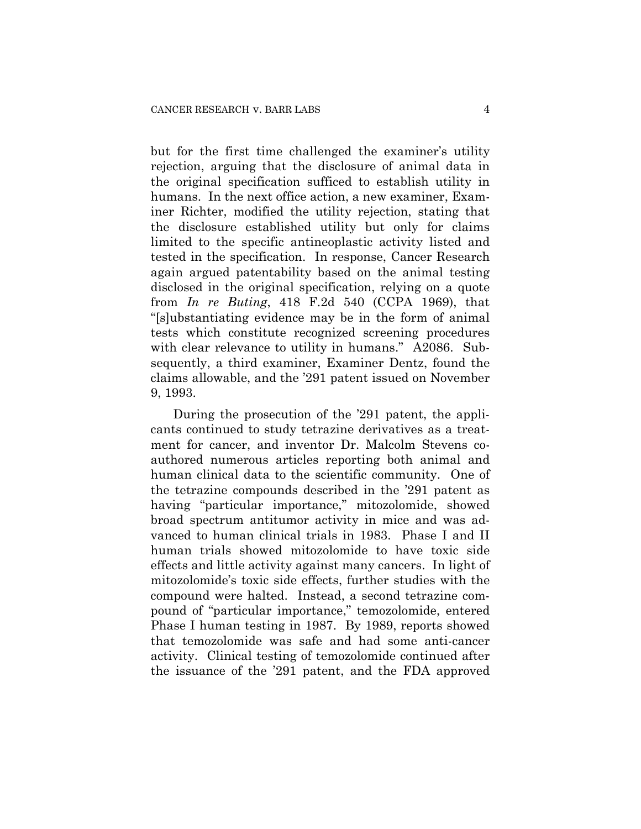but for the first time challenged the examiner's utility rejection, arguing that the disclosure of animal data in the original specification sufficed to establish utility in humans. In the next office action, a new examiner, Examiner Richter, modified the utility rejection, stating that the disclosure established utility but only for claims limited to the specific antineoplastic activity listed and tested in the specification. In response, Cancer Research again argued patentability based on the animal testing disclosed in the original specification, relying on a quote from *In re Buting*, 418 F.2d 540 (CCPA 1969), that "[s]ubstantiating evidence may be in the form of animal tests which constitute recognized screening procedures with clear relevance to utility in humans." A2086. Subsequently, a third examiner, Examiner Dentz, found the claims allowable, and the '291 patent issued on November 9, 1993.

During the prosecution of the '291 patent, the applicants continued to study tetrazine derivatives as a treatment for cancer, and inventor Dr. Malcolm Stevens coauthored numerous articles reporting both animal and human clinical data to the scientific community. One of the tetrazine compounds described in the '291 patent as having "particular importance," mitozolomide, showed broad spectrum antitumor activity in mice and was advanced to human clinical trials in 1983. Phase I and II human trials showed mitozolomide to have toxic side effects and little activity against many cancers. In light of mitozolomide's toxic side effects, further studies with the compound were halted. Instead, a second tetrazine compound of "particular importance," temozolomide, entered Phase I human testing in 1987. By 1989, reports showed that temozolomide was safe and had some anti-cancer activity. Clinical testing of temozolomide continued after the issuance of the '291 patent, and the FDA approved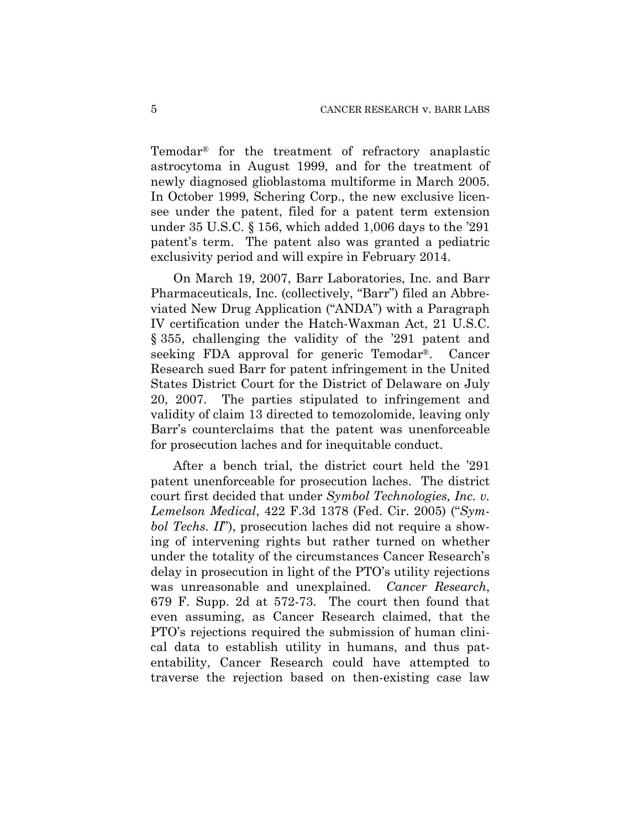Temodar® for the treatment of refractory anaplastic astrocytoma in August 1999, and for the treatment of newly diagnosed glioblastoma multiforme in March 2005. In October 1999, Schering Corp., the new exclusive licensee under the patent, filed for a patent term extension under 35 U.S.C. § 156, which added 1,006 days to the '291 patent's term. The patent also was granted a pediatric exclusivity period and will expire in February 2014.

On March 19, 2007, Barr Laboratories, Inc. and Barr Pharmaceuticals, Inc. (collectively, "Barr") filed an Abbreviated New Drug Application ("ANDA") with a Paragraph IV certification under the Hatch-Waxman Act, 21 U.S.C. § 355, challenging the validity of the '291 patent and seeking FDA approval for generic Temodar®. Cancer Research sued Barr for patent infringement in the United States District Court for the District of Delaware on July 20, 2007. The parties stipulated to infringement and validity of claim 13 directed to temozolomide, leaving only Barr's counterclaims that the patent was unenforceable for prosecution laches and for inequitable conduct.

After a bench trial, the district court held the '291 patent unenforceable for prosecution laches. The district court first decided that under *Symbol Technologies, Inc. v. Lemelson Medical*, 422 F.3d 1378 (Fed. Cir. 2005) ("*Symbol Techs. II*"), prosecution laches did not require a showing of intervening rights but rather turned on whether under the totality of the circumstances Cancer Research's delay in prosecution in light of the PTO's utility rejections was unreasonable and unexplained. *Cancer Research*, 679 F. Supp. 2d at 572-73. The court then found that even assuming, as Cancer Research claimed, that the PTO's rejections required the submission of human clinical data to establish utility in humans, and thus patentability, Cancer Research could have attempted to traverse the rejection based on then-existing case law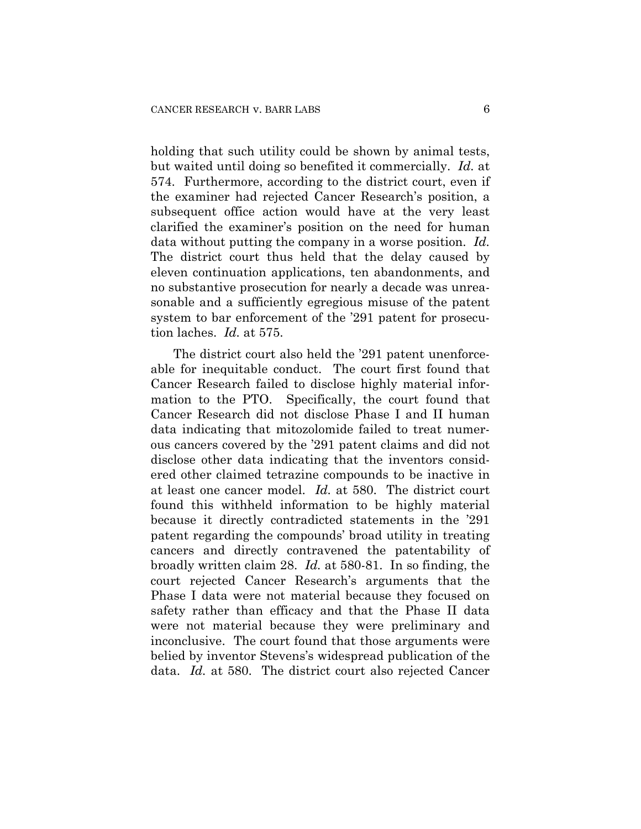holding that such utility could be shown by animal tests, but waited until doing so benefited it commercially. *Id.* at 574. Furthermore, according to the district court, even if the examiner had rejected Cancer Research's position, a subsequent office action would have at the very least clarified the examiner's position on the need for human data without putting the company in a worse position. *Id.* The district court thus held that the delay caused by eleven continuation applications, ten abandonments, and no substantive prosecution for nearly a decade was unreasonable and a sufficiently egregious misuse of the patent system to bar enforcement of the '291 patent for prosecution laches. *Id.* at 575.

The district court also held the '291 patent unenforceable for inequitable conduct. The court first found that Cancer Research failed to disclose highly material information to the PTO. Specifically, the court found that Cancer Research did not disclose Phase I and II human data indicating that mitozolomide failed to treat numerous cancers covered by the '291 patent claims and did not disclose other data indicating that the inventors considered other claimed tetrazine compounds to be inactive in at least one cancer model. *Id.* at 580. The district court found this withheld information to be highly material because it directly contradicted statements in the '291 patent regarding the compounds' broad utility in treating cancers and directly contravened the patentability of broadly written claim 28. *Id.* at 580-81. In so finding, the court rejected Cancer Research's arguments that the Phase I data were not material because they focused on safety rather than efficacy and that the Phase II data were not material because they were preliminary and inconclusive. The court found that those arguments were belied by inventor Stevens's widespread publication of the data. *Id.* at 580. The district court also rejected Cancer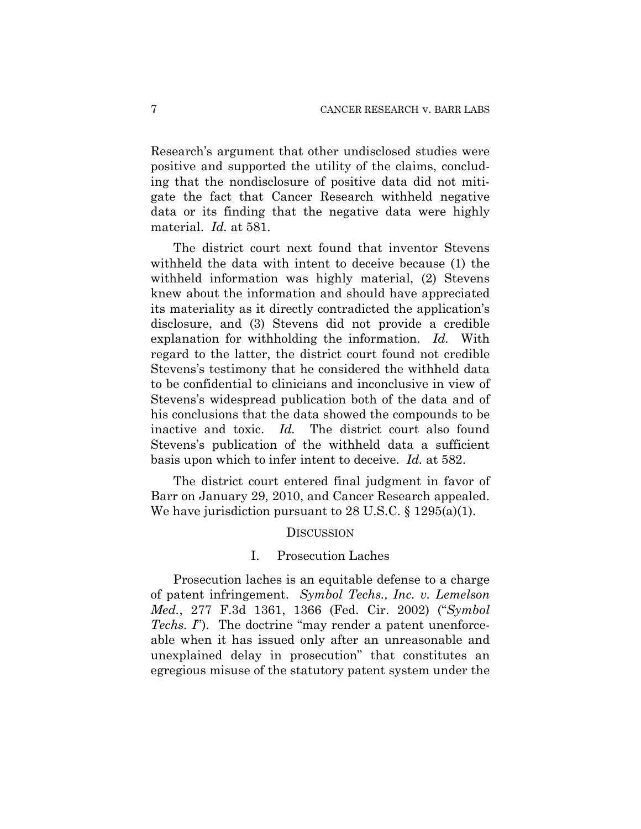Research's argument that other undisclosed studies were positive and supported the utility of the claims, concluding that the nondisclosure of positive data did not mitigate the fact that Cancer Research withheld negative data or its finding that the negative data were highly material. *Id.* at 581.

The district court next found that inventor Stevens withheld the data with intent to deceive because (1) the withheld information was highly material, (2) Stevens knew about the information and should have appreciated its materiality as it directly contradicted the application's disclosure, and (3) Stevens did not provide a credible explanation for withholding the information. *Id.* With regard to the latter, the district court found not credible Stevens's testimony that he considered the withheld data to be confidential to clinicians and inconclusive in view of Stevens's widespread publication both of the data and of his conclusions that the data showed the compounds to be inactive and toxic. *Id.* The district court also found Stevens's publication of the withheld data a sufficient basis upon which to infer intent to deceive. *Id.* at 582.

The district court entered final judgment in favor of Barr on January 29, 2010, and Cancer Research appealed. We have jurisdiction pursuant to 28 U.S.C. § 1295(a)(1).

#### **DISCUSSION**

#### I. Prosecution Laches

Prosecution laches is an equitable defense to a charge of patent infringement. *Symbol Techs., Inc. v. Lemelson Med.*, 277 F.3d 1361, 1366 (Fed. Cir. 2002) ("*Symbol Techs. I*"). The doctrine "may render a patent unenforceable when it has issued only after an unreasonable and unexplained delay in prosecution" that constitutes an egregious misuse of the statutory patent system under the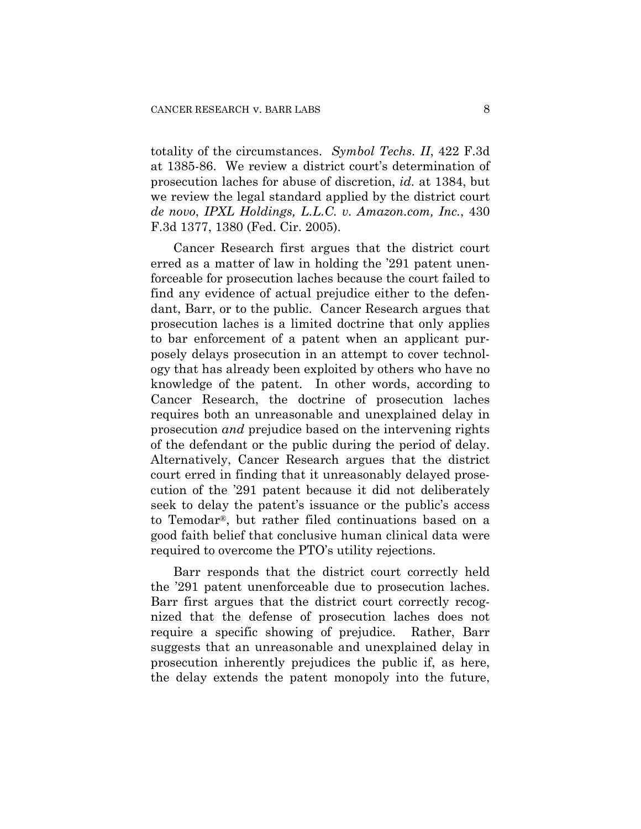totality of the circumstances. *Symbol Techs. II*, 422 F.3d at 1385-86. We review a district court's determination of prosecution laches for abuse of discretion, *id.* at 1384, but we review the legal standard applied by the district court *de novo*, *IPXL Holdings, L.L.C. v. Amazon.com, Inc.*, 430 F.3d 1377, 1380 (Fed. Cir. 2005).

Cancer Research first argues that the district court erred as a matter of law in holding the '291 patent unenforceable for prosecution laches because the court failed to find any evidence of actual prejudice either to the defendant, Barr, or to the public. Cancer Research argues that prosecution laches is a limited doctrine that only applies to bar enforcement of a patent when an applicant purposely delays prosecution in an attempt to cover technology that has already been exploited by others who have no knowledge of the patent. In other words, according to Cancer Research, the doctrine of prosecution laches requires both an unreasonable and unexplained delay in prosecution *and* prejudice based on the intervening rights of the defendant or the public during the period of delay. Alternatively, Cancer Research argues that the district court erred in finding that it unreasonably delayed prosecution of the '291 patent because it did not deliberately seek to delay the patent's issuance or the public's access to Temodar®, but rather filed continuations based on a good faith belief that conclusive human clinical data were required to overcome the PTO's utility rejections.

Barr responds that the district court correctly held the '291 patent unenforceable due to prosecution laches. Barr first argues that the district court correctly recognized that the defense of prosecution laches does not require a specific showing of prejudice. Rather, Barr suggests that an unreasonable and unexplained delay in prosecution inherently prejudices the public if, as here, the delay extends the patent monopoly into the future,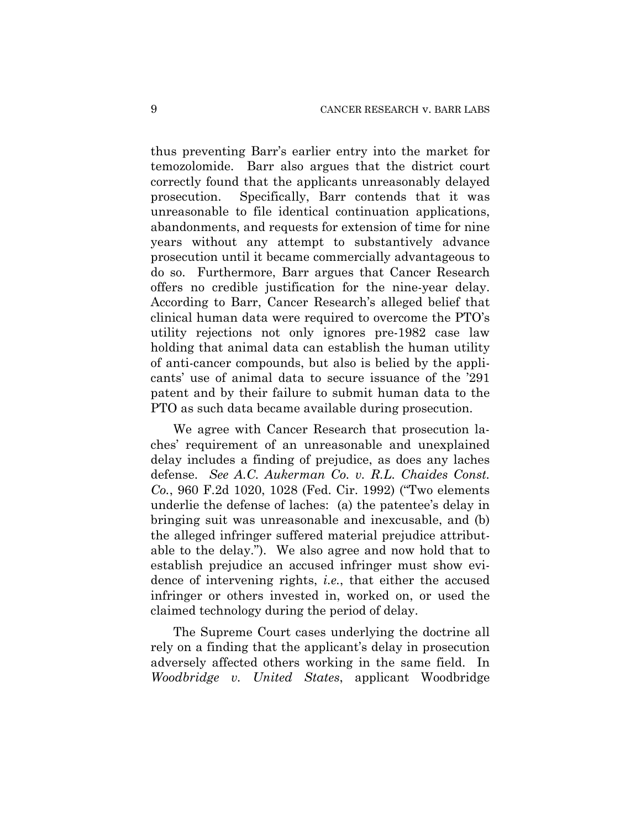thus preventing Barr's earlier entry into the market for temozolomide. Barr also argues that the district court correctly found that the applicants unreasonably delayed prosecution. Specifically, Barr contends that it was unreasonable to file identical continuation applications, abandonments, and requests for extension of time for nine years without any attempt to substantively advance prosecution until it became commercially advantageous to do so. Furthermore, Barr argues that Cancer Research offers no credible justification for the nine-year delay. According to Barr, Cancer Research's alleged belief that clinical human data were required to overcome the PTO's utility rejections not only ignores pre-1982 case law holding that animal data can establish the human utility of anti-cancer compounds, but also is belied by the applicants' use of animal data to secure issuance of the '291 patent and by their failure to submit human data to the PTO as such data became available during prosecution.

We agree with Cancer Research that prosecution laches' requirement of an unreasonable and unexplained delay includes a finding of prejudice, as does any laches defense. *See A.C. Aukerman Co. v. R.L. Chaides Const. Co.*, 960 F.2d 1020, 1028 (Fed. Cir. 1992) ("Two elements underlie the defense of laches: (a) the patentee's delay in bringing suit was unreasonable and inexcusable, and (b) the alleged infringer suffered material prejudice attributable to the delay."). We also agree and now hold that to establish prejudice an accused infringer must show evidence of intervening rights, *i.e.*, that either the accused infringer or others invested in, worked on, or used the claimed technology during the period of delay.

The Supreme Court cases underlying the doctrine all rely on a finding that the applicant's delay in prosecution adversely affected others working in the same field. In *Woodbridge v. United States*, applicant Woodbridge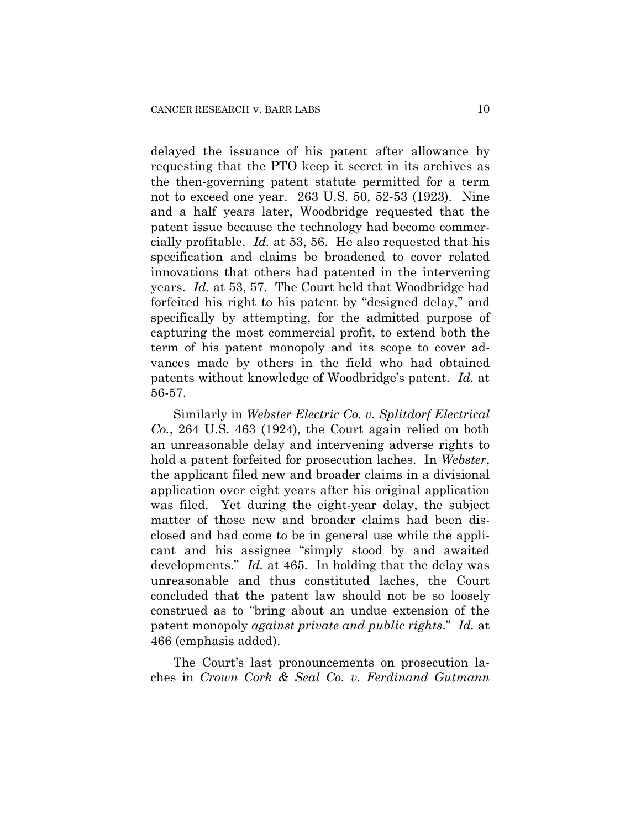delayed the issuance of his patent after allowance by requesting that the PTO keep it secret in its archives as the then-governing patent statute permitted for a term not to exceed one year. 263 U.S. 50, 52-53 (1923). Nine and a half years later, Woodbridge requested that the patent issue because the technology had become commercially profitable. *Id.* at 53, 56. He also requested that his specification and claims be broadened to cover related innovations that others had patented in the intervening years. *Id.* at 53, 57. The Court held that Woodbridge had forfeited his right to his patent by "designed delay," and specifically by attempting, for the admitted purpose of capturing the most commercial profit, to extend both the term of his patent monopoly and its scope to cover advances made by others in the field who had obtained patents without knowledge of Woodbridge's patent. *Id.* at 56-57.

Similarly in *Webster Electric Co. v. Splitdorf Electrical Co.*, 264 U.S. 463 (1924), the Court again relied on both an unreasonable delay and intervening adverse rights to hold a patent forfeited for prosecution laches. In *Webster*, the applicant filed new and broader claims in a divisional application over eight years after his original application was filed. Yet during the eight-year delay, the subject matter of those new and broader claims had been disclosed and had come to be in general use while the applicant and his assignee "simply stood by and awaited developments." *Id.* at 465. In holding that the delay was unreasonable and thus constituted laches, the Court concluded that the patent law should not be so loosely construed as to "bring about an undue extension of the patent monopoly *against private and public rights*." *Id.* at 466 (emphasis added).

The Court's last pronouncements on prosecution laches in *Crown Cork & Seal Co. v. Ferdinand Gutmann*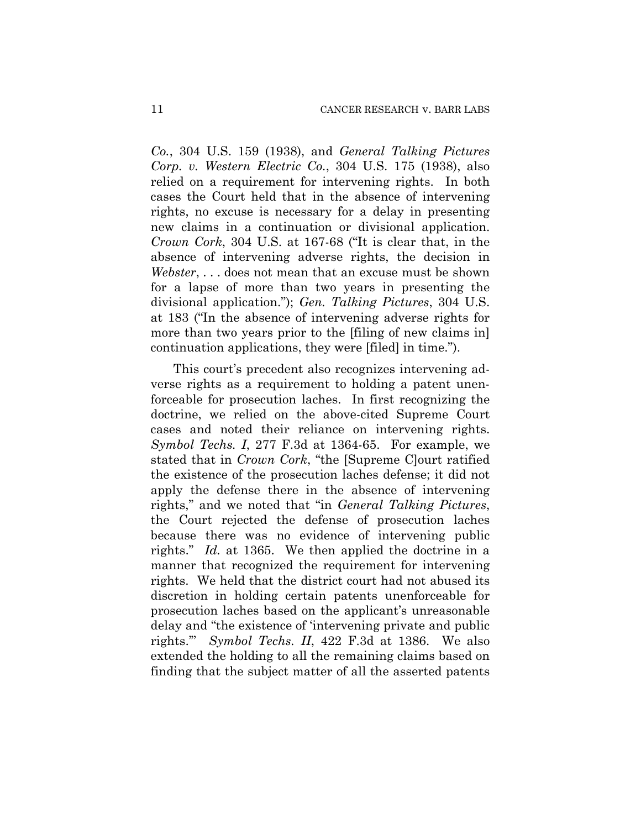*Co.*, 304 U.S. 159 (1938), and *General Talking Pictures Corp. v. Western Electric Co.*, 304 U.S. 175 (1938), also relied on a requirement for intervening rights. In both cases the Court held that in the absence of intervening rights, no excuse is necessary for a delay in presenting new claims in a continuation or divisional application. *Crown Cork*, 304 U.S. at 167-68 ("It is clear that, in the absence of intervening adverse rights, the decision in *Webster*, . . . does not mean that an excuse must be shown for a lapse of more than two years in presenting the divisional application."); *Gen. Talking Pictures*, 304 U.S. at 183 ("In the absence of intervening adverse rights for more than two years prior to the [filing of new claims in] continuation applications, they were [filed] in time.").

This court's precedent also recognizes intervening adverse rights as a requirement to holding a patent unenforceable for prosecution laches. In first recognizing the doctrine, we relied on the above-cited Supreme Court cases and noted their reliance on intervening rights. *Symbol Techs. I*, 277 F.3d at 1364-65. For example, we stated that in *Crown Cork*, "the [Supreme C]ourt ratified the existence of the prosecution laches defense; it did not apply the defense there in the absence of intervening rights," and we noted that "in *General Talking Pictures*, the Court rejected the defense of prosecution laches because there was no evidence of intervening public rights." *Id.* at 1365. We then applied the doctrine in a manner that recognized the requirement for intervening rights. We held that the district court had not abused its discretion in holding certain patents unenforceable for prosecution laches based on the applicant's unreasonable delay and "the existence of 'intervening private and public rights.'" *Symbol Techs. II*, 422 F.3d at 1386. We also extended the holding to all the remaining claims based on finding that the subject matter of all the asserted patents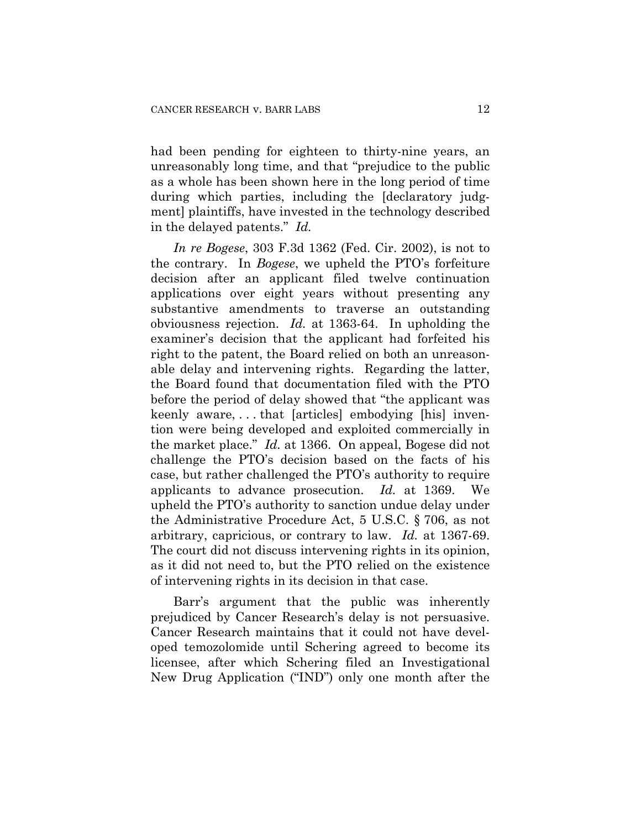had been pending for eighteen to thirty-nine years, an unreasonably long time, and that "prejudice to the public as a whole has been shown here in the long period of time during which parties, including the [declaratory judgment] plaintiffs, have invested in the technology described in the delayed patents." *Id.*

*In re Bogese*, 303 F.3d 1362 (Fed. Cir. 2002), is not to the contrary. In *Bogese*, we upheld the PTO's forfeiture decision after an applicant filed twelve continuation applications over eight years without presenting any substantive amendments to traverse an outstanding obviousness rejection. *Id.* at 1363-64. In upholding the examiner's decision that the applicant had forfeited his right to the patent, the Board relied on both an unreasonable delay and intervening rights. Regarding the latter, the Board found that documentation filed with the PTO before the period of delay showed that "the applicant was keenly aware, . . . that [articles] embodying [his] invention were being developed and exploited commercially in the market place." *Id.* at 1366. On appeal, Bogese did not challenge the PTO's decision based on the facts of his case, but rather challenged the PTO's authority to require applicants to advance prosecution. *Id.* at 1369. We upheld the PTO's authority to sanction undue delay under the Administrative Procedure Act, 5 U.S.C. § 706, as not arbitrary, capricious, or contrary to law. *Id.* at 1367-69. The court did not discuss intervening rights in its opinion, as it did not need to, but the PTO relied on the existence of intervening rights in its decision in that case.

Barr's argument that the public was inherently prejudiced by Cancer Research's delay is not persuasive. Cancer Research maintains that it could not have developed temozolomide until Schering agreed to become its licensee, after which Schering filed an Investigational New Drug Application ("IND") only one month after the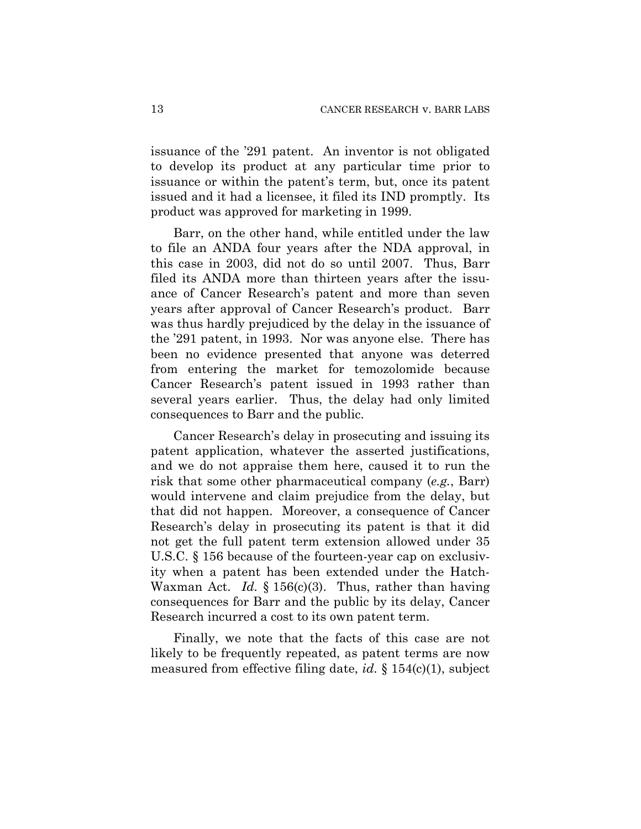issuance of the '291 patent. An inventor is not obligated to develop its product at any particular time prior to issuance or within the patent's term, but, once its patent issued and it had a licensee, it filed its IND promptly. Its product was approved for marketing in 1999.

Barr, on the other hand, while entitled under the law to file an ANDA four years after the NDA approval, in this case in 2003, did not do so until 2007. Thus, Barr filed its ANDA more than thirteen years after the issuance of Cancer Research's patent and more than seven years after approval of Cancer Research's product. Barr was thus hardly prejudiced by the delay in the issuance of the '291 patent, in 1993. Nor was anyone else. There has been no evidence presented that anyone was deterred from entering the market for temozolomide because Cancer Research's patent issued in 1993 rather than several years earlier. Thus, the delay had only limited consequences to Barr and the public.

Cancer Research's delay in prosecuting and issuing its patent application, whatever the asserted justifications, and we do not appraise them here, caused it to run the risk that some other pharmaceutical company (*e.g.*, Barr) would intervene and claim prejudice from the delay, but that did not happen. Moreover, a consequence of Cancer Research's delay in prosecuting its patent is that it did not get the full patent term extension allowed under 35 U.S.C. § 156 because of the fourteen-year cap on exclusivity when a patent has been extended under the Hatch-Waxman Act. *Id.* § 156(c)(3). Thus, rather than having consequences for Barr and the public by its delay, Cancer Research incurred a cost to its own patent term.

Finally, we note that the facts of this case are not likely to be frequently repeated, as patent terms are now measured from effective filing date, *id.* § 154(c)(1), subject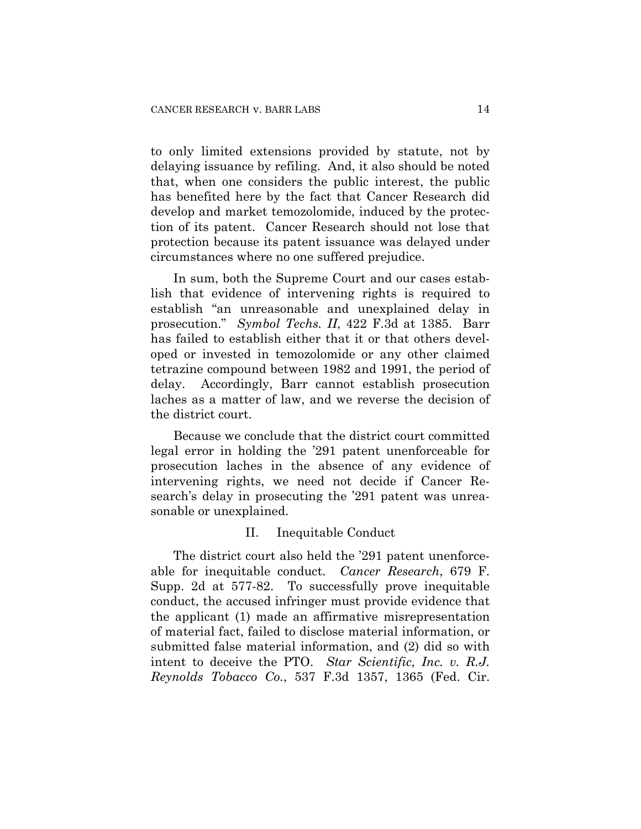to only limited extensions provided by statute, not by delaying issuance by refiling. And, it also should be noted that, when one considers the public interest, the public has benefited here by the fact that Cancer Research did develop and market temozolomide, induced by the protection of its patent. Cancer Research should not lose that protection because its patent issuance was delayed under circumstances where no one suffered prejudice.

In sum, both the Supreme Court and our cases establish that evidence of intervening rights is required to establish "an unreasonable and unexplained delay in prosecution." *Symbol Techs. II*, 422 F.3d at 1385. Barr has failed to establish either that it or that others developed or invested in temozolomide or any other claimed tetrazine compound between 1982 and 1991, the period of delay. Accordingly, Barr cannot establish prosecution laches as a matter of law, and we reverse the decision of the district court.

Because we conclude that the district court committed legal error in holding the '291 patent unenforceable for prosecution laches in the absence of any evidence of intervening rights, we need not decide if Cancer Research's delay in prosecuting the '291 patent was unreasonable or unexplained.

## II. Inequitable Conduct

The district court also held the '291 patent unenforceable for inequitable conduct. *Cancer Research*, 679 F. Supp. 2d at 577-82. To successfully prove inequitable conduct, the accused infringer must provide evidence that the applicant (1) made an affirmative misrepresentation of material fact, failed to disclose material information, or submitted false material information, and (2) did so with intent to deceive the PTO. *Star Scientific, Inc. v. R.J. Reynolds Tobacco Co.*, 537 F.3d 1357, 1365 (Fed. Cir.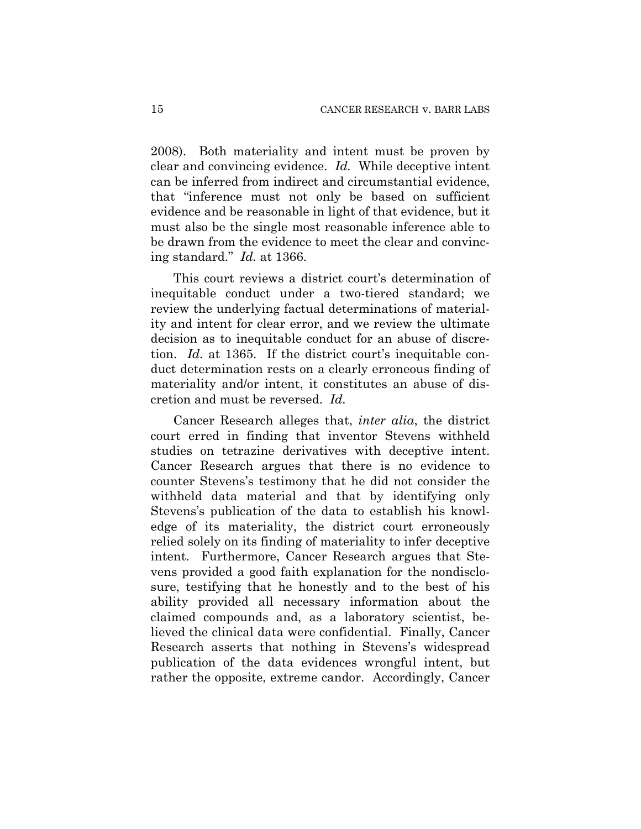2008). Both materiality and intent must be proven by clear and convincing evidence. *Id.* While deceptive intent can be inferred from indirect and circumstantial evidence, that "inference must not only be based on sufficient evidence and be reasonable in light of that evidence, but it must also be the single most reasonable inference able to be drawn from the evidence to meet the clear and convincing standard." *Id.* at 1366.

This court reviews a district court's determination of inequitable conduct under a two-tiered standard; we review the underlying factual determinations of materiality and intent for clear error, and we review the ultimate decision as to inequitable conduct for an abuse of discretion. *Id.* at 1365. If the district court's inequitable conduct determination rests on a clearly erroneous finding of materiality and/or intent, it constitutes an abuse of discretion and must be reversed. *Id.*

Cancer Research alleges that, *inter alia*, the district court erred in finding that inventor Stevens withheld studies on tetrazine derivatives with deceptive intent. Cancer Research argues that there is no evidence to counter Stevens's testimony that he did not consider the withheld data material and that by identifying only Stevens's publication of the data to establish his knowledge of its materiality, the district court erroneously relied solely on its finding of materiality to infer deceptive intent. Furthermore, Cancer Research argues that Stevens provided a good faith explanation for the nondisclosure, testifying that he honestly and to the best of his ability provided all necessary information about the claimed compounds and, as a laboratory scientist, believed the clinical data were confidential. Finally, Cancer Research asserts that nothing in Stevens's widespread publication of the data evidences wrongful intent, but rather the opposite, extreme candor. Accordingly, Cancer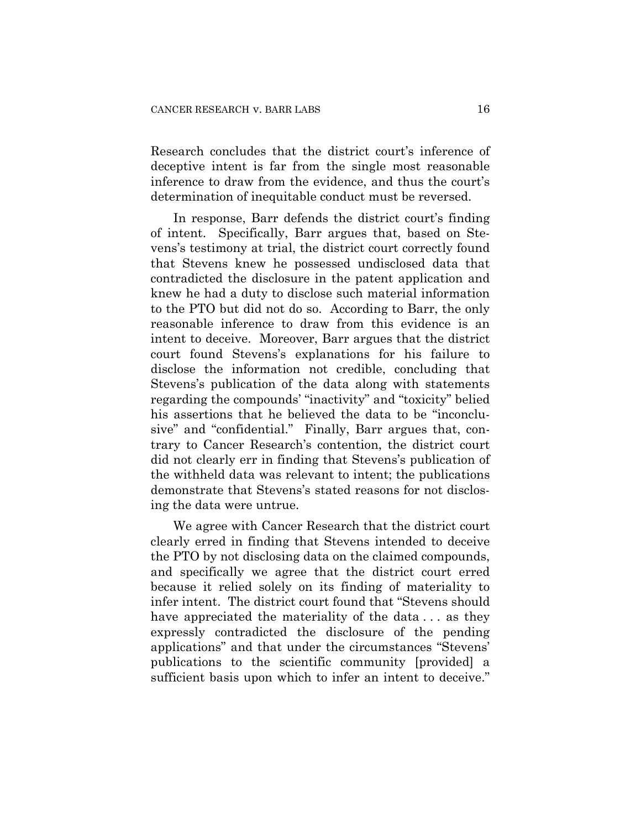Research concludes that the district court's inference of deceptive intent is far from the single most reasonable inference to draw from the evidence, and thus the court's determination of inequitable conduct must be reversed.

In response, Barr defends the district court's finding of intent. Specifically, Barr argues that, based on Stevens's testimony at trial, the district court correctly found that Stevens knew he possessed undisclosed data that contradicted the disclosure in the patent application and knew he had a duty to disclose such material information to the PTO but did not do so. According to Barr, the only reasonable inference to draw from this evidence is an intent to deceive. Moreover, Barr argues that the district court found Stevens's explanations for his failure to disclose the information not credible, concluding that Stevens's publication of the data along with statements regarding the compounds' "inactivity" and "toxicity" belied his assertions that he believed the data to be "inconclusive" and "confidential." Finally, Barr argues that, contrary to Cancer Research's contention, the district court did not clearly err in finding that Stevens's publication of the withheld data was relevant to intent; the publications demonstrate that Stevens's stated reasons for not disclosing the data were untrue.

We agree with Cancer Research that the district court clearly erred in finding that Stevens intended to deceive the PTO by not disclosing data on the claimed compounds, and specifically we agree that the district court erred because it relied solely on its finding of materiality to infer intent. The district court found that "Stevens should have appreciated the materiality of the data ... as they expressly contradicted the disclosure of the pending applications" and that under the circumstances "Stevens' publications to the scientific community [provided] a sufficient basis upon which to infer an intent to deceive."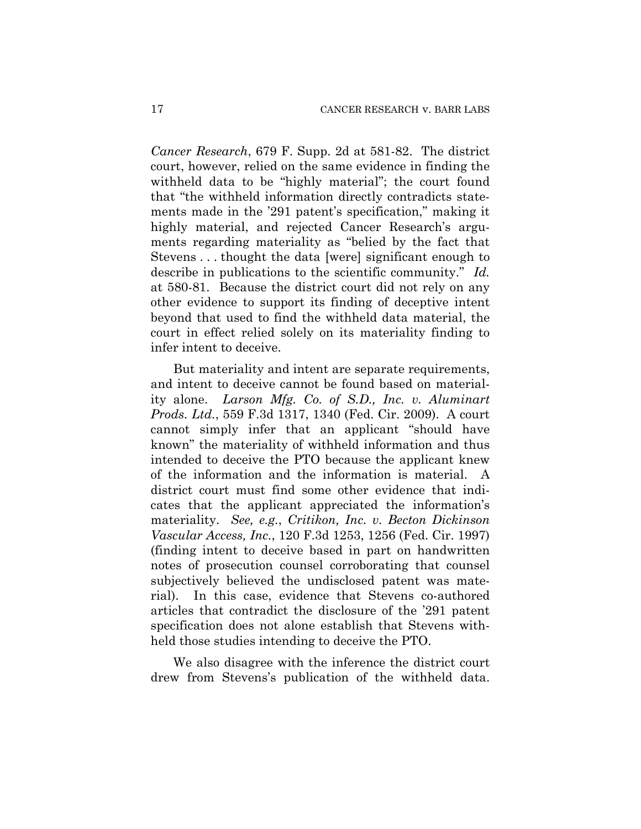*Cancer Research*, 679 F. Supp. 2d at 581-82. The district court, however, relied on the same evidence in finding the withheld data to be "highly material"; the court found that "the withheld information directly contradicts statements made in the '291 patent's specification," making it highly material, and rejected Cancer Research's arguments regarding materiality as "belied by the fact that Stevens . . . thought the data [were] significant enough to describe in publications to the scientific community." *Id.* at 580-81. Because the district court did not rely on any other evidence to support its finding of deceptive intent beyond that used to find the withheld data material, the court in effect relied solely on its materiality finding to infer intent to deceive.

But materiality and intent are separate requirements, and intent to deceive cannot be found based on materiality alone. *Larson Mfg. Co. of S.D., Inc. v. Aluminart Prods. Ltd.*, 559 F.3d 1317, 1340 (Fed. Cir. 2009). A court cannot simply infer that an applicant "should have known" the materiality of withheld information and thus intended to deceive the PTO because the applicant knew of the information and the information is material. A district court must find some other evidence that indicates that the applicant appreciated the information's materiality. *See, e.g.*, *Critikon, Inc. v. Becton Dickinson Vascular Access, Inc.*, 120 F.3d 1253, 1256 (Fed. Cir. 1997) (finding intent to deceive based in part on handwritten notes of prosecution counsel corroborating that counsel subjectively believed the undisclosed patent was material). In this case, evidence that Stevens co-authored articles that contradict the disclosure of the '291 patent specification does not alone establish that Stevens withheld those studies intending to deceive the PTO.

We also disagree with the inference the district court drew from Stevens's publication of the withheld data.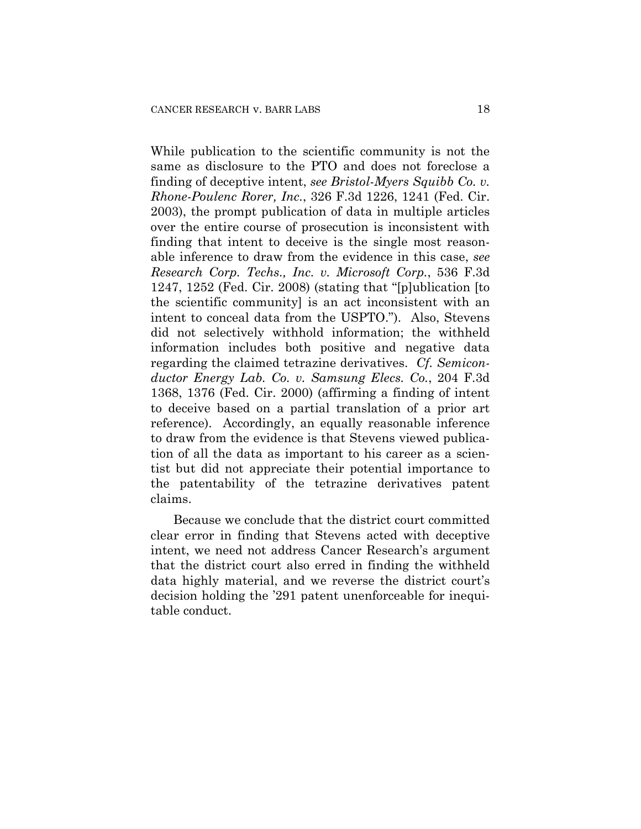While publication to the scientific community is not the same as disclosure to the PTO and does not foreclose a finding of deceptive intent, *see Bristol-Myers Squibb Co. v. Rhone-Poulenc Rorer, Inc.*, 326 F.3d 1226, 1241 (Fed. Cir. 2003), the prompt publication of data in multiple articles over the entire course of prosecution is inconsistent with finding that intent to deceive is the single most reasonable inference to draw from the evidence in this case, *see Research Corp. Techs., Inc. v. Microsoft Corp.*, 536 F.3d 1247, 1252 (Fed. Cir. 2008) (stating that "[p]ublication [to the scientific community] is an act inconsistent with an intent to conceal data from the USPTO."). Also, Stevens did not selectively withhold information; the withheld information includes both positive and negative data regarding the claimed tetrazine derivatives. *Cf. Semiconductor Energy Lab. Co. v. Samsung Elecs. Co.*, 204 F.3d 1368, 1376 (Fed. Cir. 2000) (affirming a finding of intent to deceive based on a partial translation of a prior art reference). Accordingly, an equally reasonable inference to draw from the evidence is that Stevens viewed publication of all the data as important to his career as a scientist but did not appreciate their potential importance to the patentability of the tetrazine derivatives patent claims.

Because we conclude that the district court committed clear error in finding that Stevens acted with deceptive intent, we need not address Cancer Research's argument that the district court also erred in finding the withheld data highly material, and we reverse the district court's decision holding the '291 patent unenforceable for inequitable conduct.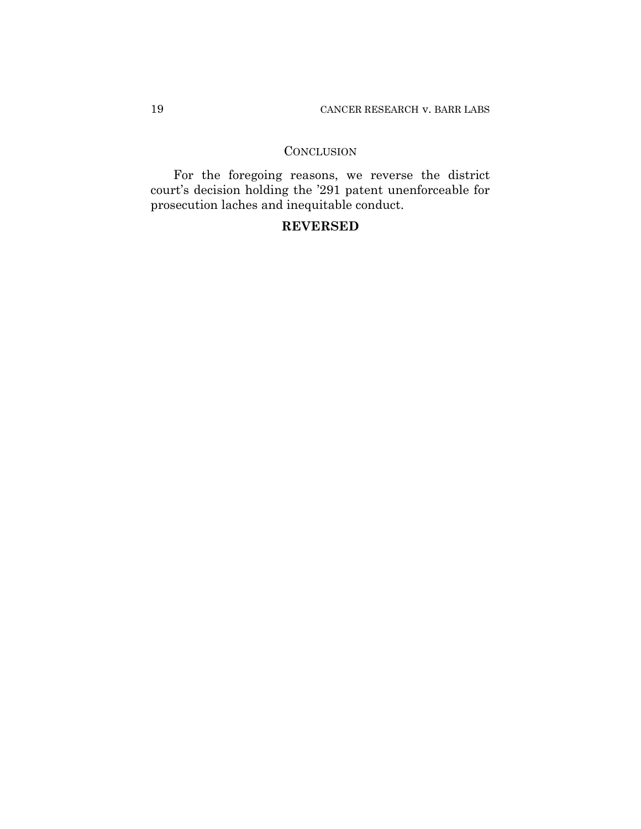## **CONCLUSION**

For the foregoing reasons, we reverse the district court's decision holding the '291 patent unenforceable for prosecution laches and inequitable conduct.

# **REVERSED**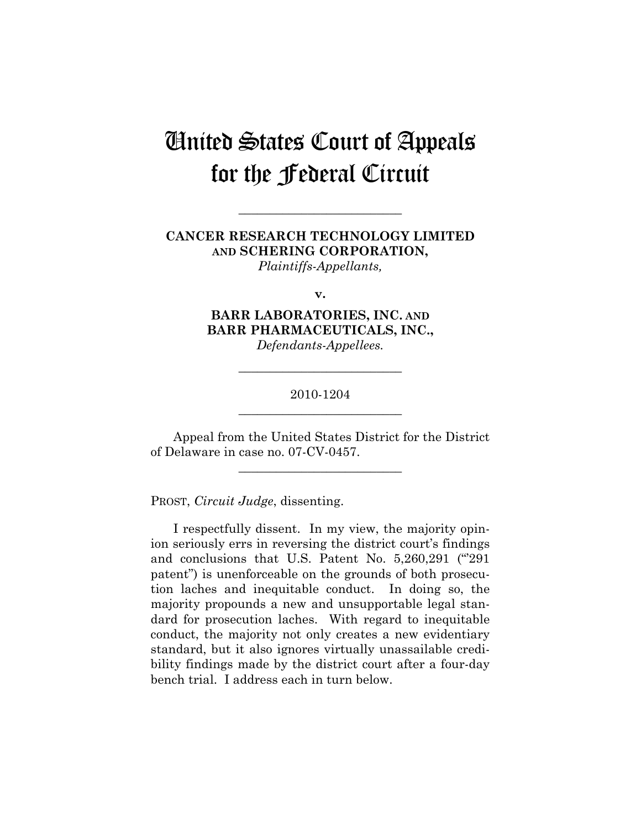# United States Court of Appeals for the Federal Circuit

# **CANCER RESEARCH TECHNOLOGY LIMITED AND SCHERING CORPORATION,**

**\_\_\_\_\_\_\_\_\_\_\_\_\_\_\_\_\_\_\_\_\_\_\_\_\_\_** 

*Plaintiffs-Appellants,* 

**v.** 

# **BARR LABORATORIES, INC. AND BARR PHARMACEUTICALS, INC.,**

*Defendants-Appellees.* 

## 2010-1204 **\_\_\_\_\_\_\_\_\_\_\_\_\_\_\_\_\_\_\_\_\_\_\_\_\_\_**

**\_\_\_\_\_\_\_\_\_\_\_\_\_\_\_\_\_\_\_\_\_\_\_\_\_\_** 

Appeal from the United States District for the District of Delaware in case no. 07-CV-0457.

**\_\_\_\_\_\_\_\_\_\_\_\_\_\_\_\_\_\_\_\_\_\_\_\_\_\_** 

PROST, *Circuit Judge*, dissenting.

I respectfully dissent. In my view, the majority opinion seriously errs in reversing the district court's findings and conclusions that U.S. Patent No. 5,260,291 ("'291 patent") is unenforceable on the grounds of both prosecution laches and inequitable conduct. In doing so, the majority propounds a new and unsupportable legal standard for prosecution laches. With regard to inequitable conduct, the majority not only creates a new evidentiary standard, but it also ignores virtually unassailable credibility findings made by the district court after a four-day bench trial. I address each in turn below.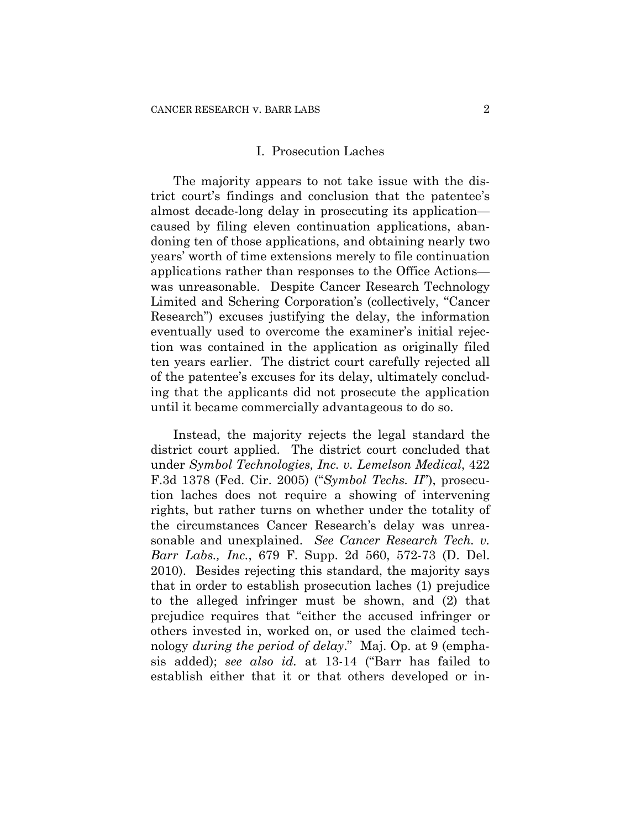#### I. Prosecution Laches

The majority appears to not take issue with the district court's findings and conclusion that the patentee's almost decade-long delay in prosecuting its application caused by filing eleven continuation applications, abandoning ten of those applications, and obtaining nearly two years' worth of time extensions merely to file continuation applications rather than responses to the Office Actions was unreasonable. Despite Cancer Research Technology Limited and Schering Corporation's (collectively, "Cancer Research") excuses justifying the delay, the information eventually used to overcome the examiner's initial rejection was contained in the application as originally filed ten years earlier. The district court carefully rejected all of the patentee's excuses for its delay, ultimately concluding that the applicants did not prosecute the application until it became commercially advantageous to do so.

Instead, the majority rejects the legal standard the district court applied. The district court concluded that under *Symbol Technologies, Inc. v. Lemelson Medical*, 422 F.3d 1378 (Fed. Cir. 2005) ("*Symbol Techs. II*"), prosecution laches does not require a showing of intervening rights, but rather turns on whether under the totality of the circumstances Cancer Research's delay was unreasonable and unexplained. *See Cancer Research Tech. v. Barr Labs., Inc.*, 679 F. Supp. 2d 560, 572-73 (D. Del. 2010). Besides rejecting this standard, the majority says that in order to establish prosecution laches (1) prejudice to the alleged infringer must be shown, and (2) that prejudice requires that "either the accused infringer or others invested in, worked on, or used the claimed technology *during the period of delay*." Maj. Op. at 9 (emphasis added); *see also id.* at 13-14 ("Barr has failed to establish either that it or that others developed or in-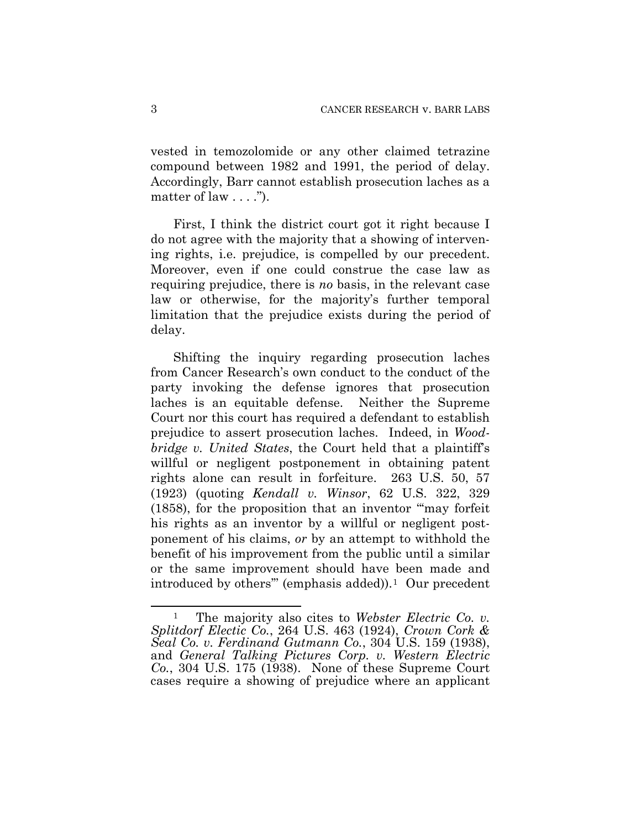vested in temozolomide or any other claimed tetrazine compound between 1982 and 1991, the period of delay. Accordingly, Barr cannot establish prosecution laches as a matter of law  $\dots$ ").

First, I think the district court got it right because I do not agree with the majority that a showing of intervening rights, i.e. prejudice, is compelled by our precedent. Moreover, even if one could construe the case law as requiring prejudice, there is *no* basis, in the relevant case law or otherwise, for the majority's further temporal limitation that the prejudice exists during the period of delay.

Shifting the inquiry regarding prosecution laches from Cancer Research's own conduct to the conduct of the party invoking the defense ignores that prosecution laches is an equitable defense. Neither the Supreme Court nor this court has required a defendant to establish prejudice to assert prosecution laches. Indeed, in *Woodbridge v. United States*, the Court held that a plaintiff's willful or negligent postponement in obtaining patent rights alone can result in forfeiture. 263 U.S. 50, 57 (1923) (quoting *Kendall v. Winsor*, 62 U.S. 322, 329 (1858), for the proposition that an inventor "'may forfeit his rights as an inventor by a willful or negligent postponement of his claims, *or* by an attempt to withhold the benefit of his improvement from the public until a similar or the same improvement should have been made and introduced by others" (emphasis added)).<sup>[1](#page-21-0)</sup> Our precedent

<u>.</u>

<span id="page-21-0"></span>The majority also cites to *Webster Electric Co. v. Splitdorf Electic Co.*, 264 U.S. 463 (1924), *Crown Cork & Seal Co. v. Ferdinand Gutmann Co.*, 304 U.S. 159 (1938), and *General Talking Pictures Corp. v. Western Electric Co.*, 304 U.S. 175 (1938). None of these Supreme Court cases require a showing of prejudice where an applicant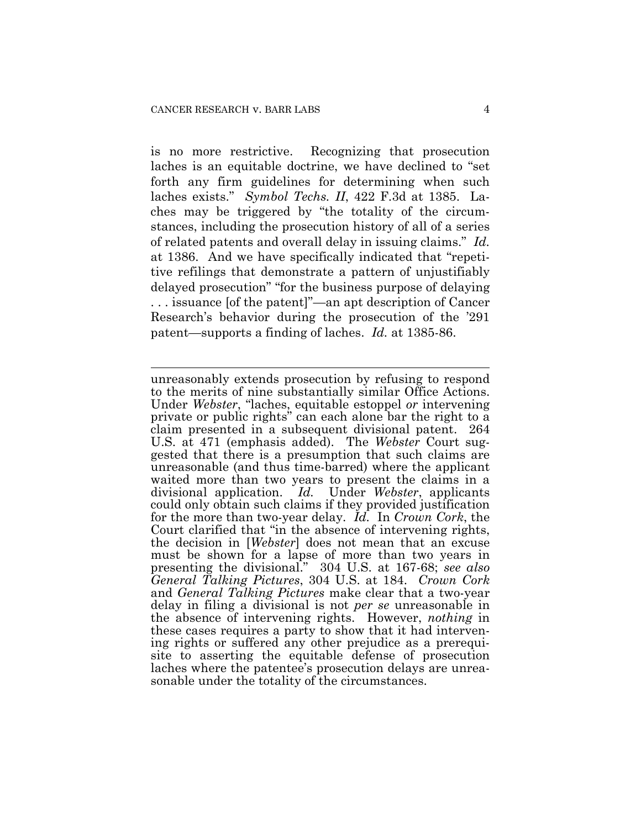$\overline{a}$ 

is no more restrictive. Recognizing that prosecution laches is an equitable doctrine, we have declined to "set forth any firm guidelines for determining when such laches exists." *Symbol Techs. II*, 422 F.3d at 1385. Laches may be triggered by "the totality of the circumstances, including the prosecution history of all of a series of related patents and overall delay in issuing claims." *Id.* at 1386. And we have specifically indicated that "repetitive refilings that demonstrate a pattern of unjustifiably delayed prosecution" "for the business purpose of delaying . . . issuance [of the patent]"—an apt description of Cancer Research's behavior during the prosecution of the '291 patent—supports a finding of laches. *Id.* at 1385-86.

unreasonably extends prosecution by refusing to respond to the merits of nine substantially similar Office Actions. Under *Webster*, "laches, equitable estoppel *or* intervening private or public rights" can each alone bar the right to a claim presented in a subsequent divisional patent. 264 U.S. at 471 (emphasis added). The *Webster* Court suggested that there is a presumption that such claims are unreasonable (and thus time-barred) where the applicant waited more than two years to present the claims in a divisional application. *Id.* Under *Webster*, applicants could only obtain such claims if they provided justification for the more than two-year delay. *Id.* In *Crown Cork*, the Court clarified that "in the absence of intervening rights, the decision in [*Webster*] does not mean that an excuse must be shown for a lapse of more than two years in presenting the divisional." 304 U.S. at 167-68; *see also General Talking Pictures*, 304 U.S. at 184. *Crown Cork* and *General Talking Pictures* make clear that a two-year delay in filing a divisional is not *per se* unreasonable in the absence of intervening rights. However, *nothing* in these cases requires a party to show that it had intervening rights or suffered any other prejudice as a prerequisite to asserting the equitable defense of prosecution laches where the patentee's prosecution delays are unreasonable under the totality of the circumstances.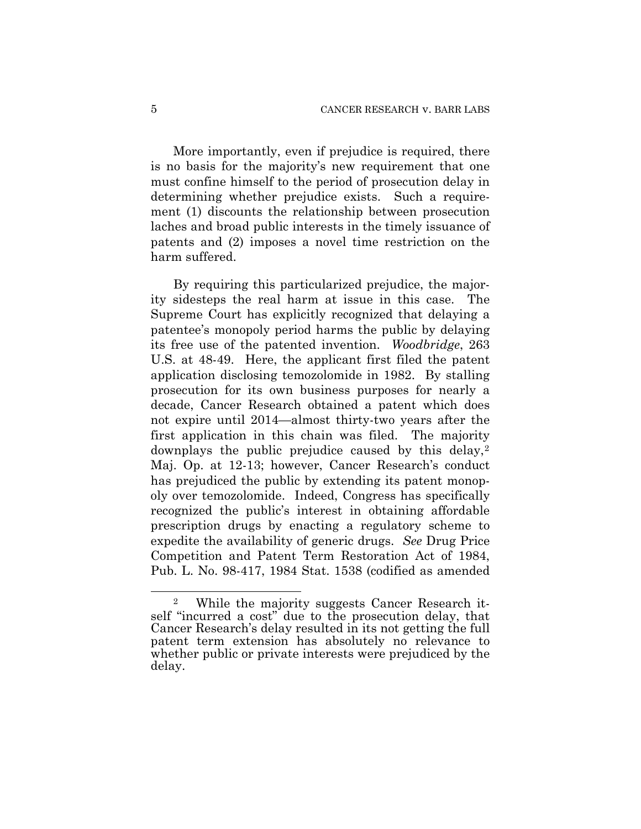More importantly, even if prejudice is required, there is no basis for the majority's new requirement that one must confine himself to the period of prosecution delay in determining whether prejudice exists. Such a requirement (1) discounts the relationship between prosecution laches and broad public interests in the timely issuance of patents and (2) imposes a novel time restriction on the harm suffered.

By requiring this particularized prejudice, the majority sidesteps the real harm at issue in this case. The Supreme Court has explicitly recognized that delaying a patentee's monopoly period harms the public by delaying its free use of the patented invention. *Woodbridge*, 263 U.S. at 48-49. Here, the applicant first filed the patent application disclosing temozolomide in 1982. By stalling prosecution for its own business purposes for nearly a decade, Cancer Research obtained a patent which does not expire until 2014—almost thirty-two years after the first application in this chain was filed. The majority downplays the public prejudice caused by this delay,<sup>[2](#page-23-0)</sup> Maj. Op. at 12-13; however, Cancer Research's conduct has prejudiced the public by extending its patent monopoly over temozolomide. Indeed, Congress has specifically recognized the public's interest in obtaining affordable prescription drugs by enacting a regulatory scheme to expedite the availability of generic drugs. *See* Drug Price Competition and Patent Term Restoration Act of 1984, Pub. L. No. 98-417, 1984 Stat. 1538 (codified as amended

 $\overline{a}$ 

<span id="page-23-0"></span><sup>2</sup> While the majority suggests Cancer Research itself "incurred a cost" due to the prosecution delay, that Cancer Research's delay resulted in its not getting the full patent term extension has absolutely no relevance to whether public or private interests were prejudiced by the delay.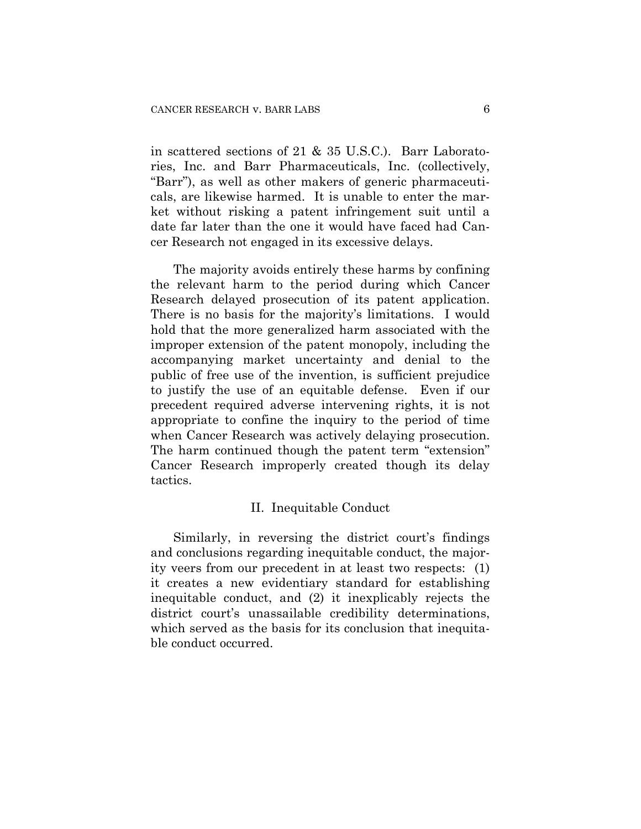in scattered sections of 21 & 35 U.S.C.). Barr Laboratories, Inc. and Barr Pharmaceuticals, Inc. (collectively, "Barr"), as well as other makers of generic pharmaceuticals, are likewise harmed. It is unable to enter the market without risking a patent infringement suit until a date far later than the one it would have faced had Cancer Research not engaged in its excessive delays.

The majority avoids entirely these harms by confining the relevant harm to the period during which Cancer Research delayed prosecution of its patent application. There is no basis for the majority's limitations. I would hold that the more generalized harm associated with the improper extension of the patent monopoly, including the accompanying market uncertainty and denial to the public of free use of the invention, is sufficient prejudice to justify the use of an equitable defense. Even if our precedent required adverse intervening rights, it is not appropriate to confine the inquiry to the period of time when Cancer Research was actively delaying prosecution. The harm continued though the patent term "extension" Cancer Research improperly created though its delay tactics.

## II. Inequitable Conduct

Similarly, in reversing the district court's findings and conclusions regarding inequitable conduct, the majority veers from our precedent in at least two respects: (1) it creates a new evidentiary standard for establishing inequitable conduct, and (2) it inexplicably rejects the district court's unassailable credibility determinations, which served as the basis for its conclusion that inequitable conduct occurred.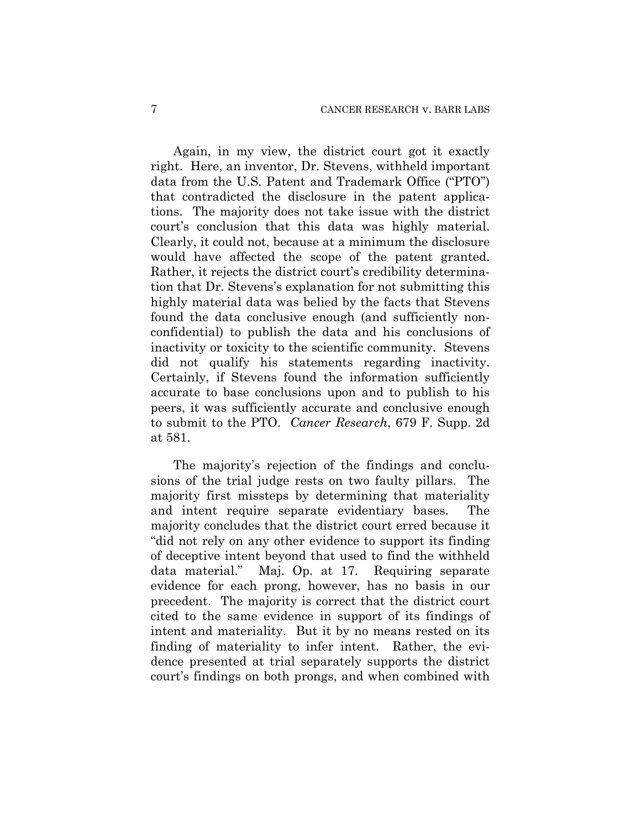Again, in my view, the district court got it exactly right. Here, an inventor, Dr. Stevens, withheld important data from the U.S. Patent and Trademark Office ("PTO") that contradicted the disclosure in the patent applications. The majority does not take issue with the district court's conclusion that this data was highly material. Clearly, it could not, because at a minimum the disclosure would have affected the scope of the patent granted. Rather, it rejects the district court's credibility determination that Dr. Stevens's explanation for not submitting this highly material data was belied by the facts that Stevens found the data conclusive enough (and sufficiently nonconfidential) to publish the data and his conclusions of inactivity or toxicity to the scientific community. Stevens did not qualify his statements regarding inactivity. Certainly, if Stevens found the information sufficiently accurate to base conclusions upon and to publish to his peers, it was sufficiently accurate and conclusive enough to submit to the PTO. *Cancer Research*, 679 F. Supp. 2d at 581.

The majority's rejection of the findings and conclusions of the trial judge rests on two faulty pillars. The majority first missteps by determining that materiality and intent require separate evidentiary bases. The majority concludes that the district court erred because it "did not rely on any other evidence to support its finding of deceptive intent beyond that used to find the withheld data material." Maj. Op. at 17. Requiring separate evidence for each prong, however, has no basis in our precedent. The majority is correct that the district court cited to the same evidence in support of its findings of intent and materiality. But it by no means rested on its finding of materiality to infer intent. Rather, the evidence presented at trial separately supports the district court's findings on both prongs, and when combined with